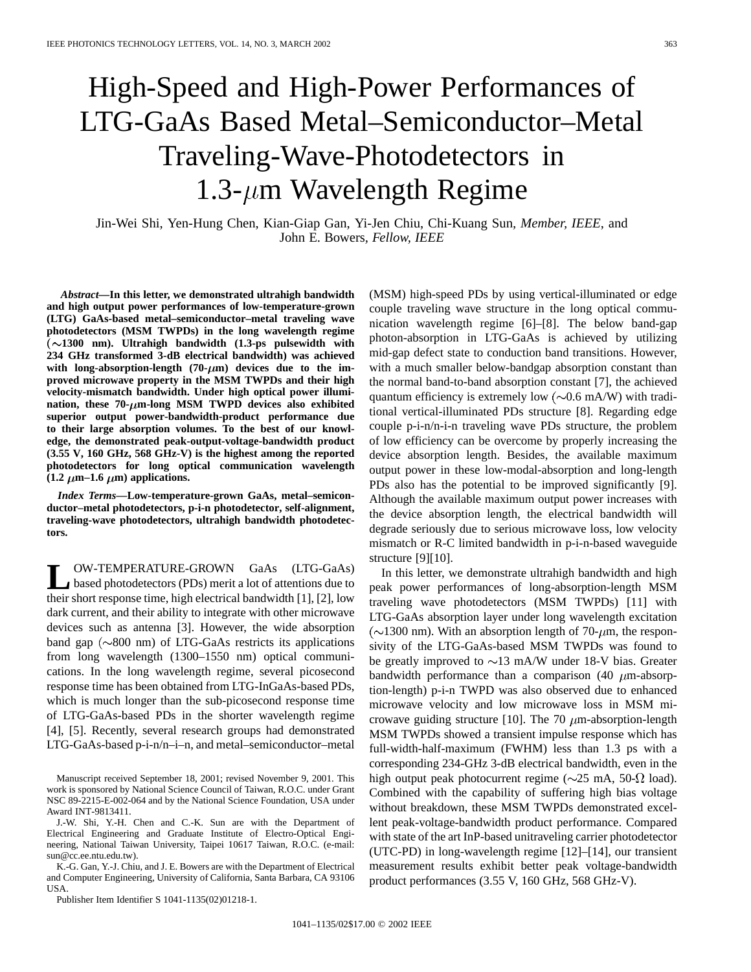## High-Speed and High-Power Performances of LTG-GaAs Based Metal–Semiconductor–Metal Traveling-Wave-Photodetectors in 1.3- $\mu$ m Wavelength Regime

Jin-Wei Shi, Yen-Hung Chen, Kian-Giap Gan, Yi-Jen Chiu, Chi-Kuang Sun*, Member, IEEE*, and John E. Bowers*, Fellow, IEEE*

*Abstract—***In this letter, we demonstrated ultrahigh bandwidth and high output power performances of low-temperature-grown (LTG) GaAs-based metal–semiconductor–metal traveling wave photodetectors (MSM TWPDs) in the long wavelength regime** ( **1300 nm). Ultrahigh bandwidth (1.3-ps pulsewidth with 234 GHz transformed 3-dB electrical bandwidth) was achieved** with long-absorption-length  $(70-\mu m)$  devices due to the im**proved microwave property in the MSM TWPDs and their high velocity-mismatch bandwidth. Under high optical power illumi**nation, these  $70$ - $\mu$ m-long MSM TWPD devices also exhibited **superior output power-bandwidth-product performance due to their large absorption volumes. To the best of our knowledge, the demonstrated peak-output-voltage-bandwidth product (3.55 V, 160 GHz, 568 GHz-V) is the highest among the reported photodetectors for long optical communication wavelength**  $(1.2 \ \mu m-1.6 \ \mu m)$  applications.

*Index Terms—***Low-temperature-grown GaAs, metal–semiconductor–metal photodetectors, p-i-n photodetector, self-alignment, traveling-wave photodetectors, ultrahigh bandwidth photodetectors.**

**LA OW-TEMPERATURE-GROWN GaAs** (LTG-GaAs)<br>based photodetectors (PDs) merit a lot of attentions due to their short response time, high electrical bandwidth [1], [2], low dark current, and their ability to integrate with other microwave devices such as antenna [3]. However, the wide absorption band gap  $(\sim 800 \text{ nm})$  of LTG-GaAs restricts its applications from long wavelength (1300–1550 nm) optical communications. In the long wavelength regime, several picosecond response time has been obtained from LTG-InGaAs-based PDs, which is much longer than the sub-picosecond response time of LTG-GaAs-based PDs in the shorter wavelength regime [4], [5]. Recently, several research groups had demonstrated LTG-GaAs-based p-i-n/n–i–n, and metal–semiconductor–metal

Manuscript received September 18, 2001; revised November 9, 2001. This work is sponsored by National Science Council of Taiwan, R.O.C. under Grant NSC 89-2215-E-002-064 and by the National Science Foundation, USA under Award INT-9813411.

J.-W. Shi, Y.-H. Chen and C.-K. Sun are with the Department of Electrical Engineering and Graduate Institute of Electro-Optical Engineering, National Taiwan University, Taipei 10617 Taiwan, R.O.C. (e-mail: sun@cc.ee.ntu.edu.tw).

K.-G. Gan, Y.-J. Chiu, and J. E. Bowers are with the Department of Electrical and Computer Engineering, University of California, Santa Barbara, CA 93106 USA.

Publisher Item Identifier S 1041-1135(02)01218-1.

(MSM) high-speed PDs by using vertical-illuminated or edge couple traveling wave structure in the long optical communication wavelength regime [6]–[8]. The below band-gap photon-absorption in LTG-GaAs is achieved by utilizing mid-gap defect state to conduction band transitions. However, with a much smaller below-bandgap absorption constant than the normal band-to-band absorption constant [7], the achieved quantum efficiency is extremely low  $(\sim 0.6 \text{ mA/W})$  with traditional vertical-illuminated PDs structure [8]. Regarding edge couple p-i-n/n-i-n traveling wave PDs structure, the problem of low efficiency can be overcome by properly increasing the device absorption length. Besides, the available maximum output power in these low-modal-absorption and long-length PDs also has the potential to be improved significantly [9]. Although the available maximum output power increases with the device absorption length, the electrical bandwidth will degrade seriously due to serious microwave loss, low velocity mismatch or R-C limited bandwidth in p-i-n-based waveguide structure [9][10].

In this letter, we demonstrate ultrahigh bandwidth and high peak power performances of long-absorption-length MSM traveling wave photodetectors (MSM TWPDs) [11] with LTG-GaAs absorption layer under long wavelength excitation  $(\sim 1300 \text{ nm})$ . With an absorption length of 70- $\mu$ m, the responsivity of the LTG-GaAs-based MSM TWPDs was found to be greatly improved to  $\sim$ 13 mA/W under 18-V bias. Greater bandwidth performance than a comparison (40  $\mu$ m-absorption-length) p-i-n TWPD was also observed due to enhanced microwave velocity and low microwave loss in MSM microwave guiding structure [10]. The 70  $\mu$ m-absorption-length MSM TWPDs showed a transient impulse response which has full-width-half-maximum (FWHM) less than 1.3 ps with a corresponding 234-GHz 3-dB electrical bandwidth, even in the high output peak photocurrent regime ( $\sim$ 25 mA, 50- $\Omega$  load). Combined with the capability of suffering high bias voltage without breakdown, these MSM TWPDs demonstrated excellent peak-voltage-bandwidth product performance. Compared with state of the art InP-based unitraveling carrier photodetector (UTC-PD) in long-wavelength regime [12]–[14], our transient measurement results exhibit better peak voltage-bandwidth product performances (3.55 V, 160 GHz, 568 GHz-V).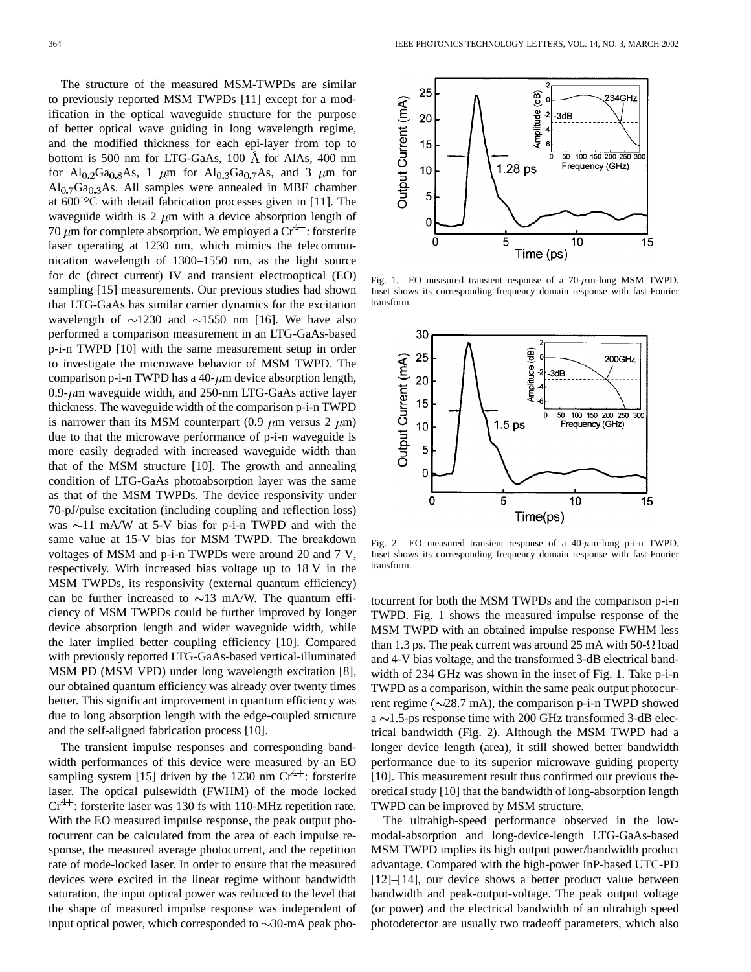The structure of the measured MSM-TWPDs are similar to previously reported MSM TWPDs [11] except for a modification in the optical waveguide structure for the purpose of better optical wave guiding in long wavelength regime, and the modified thickness for each epi-layer from top to bottom is 500 nm for LTG-GaAs,  $100 \text{ Å}$  for AlAs,  $400 \text{ nm}$ for  $Al_{0.2}Ga_{0.8}As$ , 1  $\mu$ m for  $Al_{0.3}Ga_{0.7}As$ , and 3  $\mu$ m for  $Al<sub>0.7</sub>Ga<sub>0.3</sub>As. All samples were annealed in MBE chamber$ at  $600 °C$  with detail fabrication processes given in [11]. The waveguide width is 2  $\mu$ m with a device absorption length of 70  $\mu$ m for complete absorption. We employed a Cr<sup>4+</sup>: forsterite laser operating at 1230 nm, which mimics the telecommunication wavelength of 1300–1550 nm, as the light source for dc (direct current) IV and transient electrooptical (EO) sampling [15] measurements. Our previous studies had shown that LTG-GaAs has similar carrier dynamics for the excitation wavelength of  $\sim$ 1230 and  $\sim$ 1550 nm [16]. We have also performed a comparison measurement in an LTG-GaAs-based p-i-n TWPD [10] with the same measurement setup in order to investigate the microwave behavior of MSM TWPD. The comparison p-i-n TWPD has a  $40$ - $\mu$ m device absorption length, 0.9- $\mu$ m waveguide width, and 250-nm LTG-GaAs active layer thickness. The waveguide width of the comparison p-i-n TWPD is narrower than its MSM counterpart (0.9  $\mu$ m versus 2  $\mu$ m) due to that the microwave performance of p-i-n waveguide is more easily degraded with increased waveguide width than that of the MSM structure [10]. The growth and annealing condition of LTG-GaAs photoabsorption layer was the same as that of the MSM TWPDs. The device responsivity under 70-pJ/pulse excitation (including coupling and reflection loss) was  $\sim$ 11 mA/W at 5-V bias for p-i-n TWPD and with the same value at 15-V bias for MSM TWPD. The breakdown voltages of MSM and p-i-n TWPDs were around 20 and 7 V, respectively. With increased bias voltage up to 18 V in the MSM TWPDs, its responsivity (external quantum efficiency) can be further increased to  $\sim$ 13 mA/W. The quantum efficiency of MSM TWPDs could be further improved by longer device absorption length and wider waveguide width, while the later implied better coupling efficiency [10]. Compared with previously reported LTG-GaAs-based vertical-illuminated MSM PD (MSM VPD) under long wavelength excitation [8], our obtained quantum efficiency was already over twenty times better. This significant improvement in quantum efficiency was due to long absorption length with the edge-coupled structure and the self-aligned fabrication process [10].

The transient impulse responses and corresponding bandwidth performances of this device were measured by an EO sampling system [15] driven by the 1230 nm  $Cr^{4+}$ : forsterite laser. The optical pulsewidth (FWHM) of the mode locked  $Cr^{4+}$ : forsterite laser was 130 fs with 110-MHz repetition rate. With the EO measured impulse response, the peak output photocurrent can be calculated from the area of each impulse response, the measured average photocurrent, and the repetition rate of mode-locked laser. In order to ensure that the measured devices were excited in the linear regime without bandwidth saturation, the input optical power was reduced to the level that the shape of measured impulse response was independent of input optical power, which corresponded to  $\sim$ 30-mA peak pho-



Fig. 1. EO measured transient response of a  $70-\mu$ m-long MSM TWPD. Inset shows its corresponding frequency domain response with fast-Fourier transform.



Fig. 2. EO measured transient response of a  $40-\mu$ m-long p-i-n TWPD. Inset shows its corresponding frequency domain response with fast-Fourier transform.

tocurrent for both the MSM TWPDs and the comparison p-i-n TWPD. Fig. 1 shows the measured impulse response of the MSM TWPD with an obtained impulse response FWHM less than 1.3 ps. The peak current was around 25 mA with  $50-\Omega$  load and 4-V bias voltage, and the transformed 3-dB electrical bandwidth of 234 GHz was shown in the inset of Fig. 1. Take p-i-n TWPD as a comparison, within the same peak output photocurrent regime ( $\sim$ 28.7 mA), the comparison p-i-n TWPD showed a  $\sim$ 1.5-ps response time with 200 GHz transformed 3-dB electrical bandwidth (Fig. 2). Although the MSM TWPD had a longer device length (area), it still showed better bandwidth performance due to its superior microwave guiding property [10]. This measurement result thus confirmed our previous theoretical study [10] that the bandwidth of long-absorption length TWPD can be improved by MSM structure.

The ultrahigh-speed performance observed in the lowmodal-absorption and long-device-length LTG-GaAs-based MSM TWPD implies its high output power/bandwidth product advantage. Compared with the high-power InP-based UTC-PD [12]–[14], our device shows a better product value between bandwidth and peak-output-voltage. The peak output voltage (or power) and the electrical bandwidth of an ultrahigh speed photodetector are usually two tradeoff parameters, which also